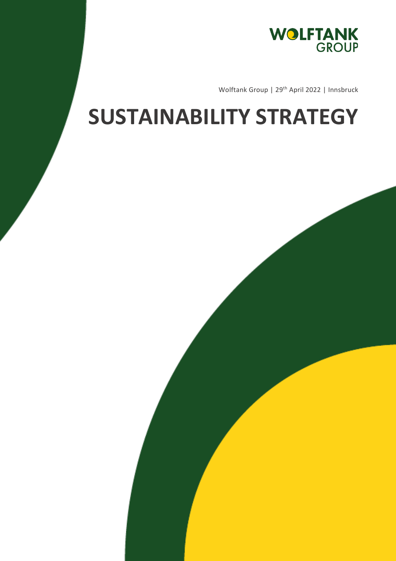

Wolftank Group | 29<sup>th</sup> April 2022 | Innsbruck

## **SUSTAINABILITY STRATEGY**